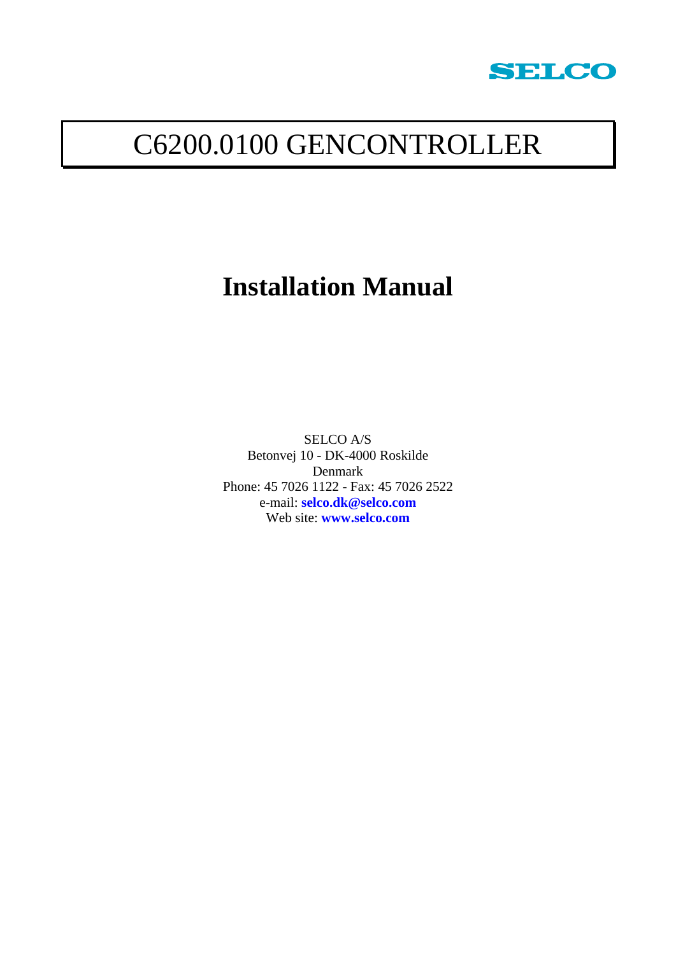

# C6200.0100 GENCONTROLLER

# **Installation Manual**

SELCO A/S Betonvej 10 - DK-4000 Roskilde Denmark Phone: 45 7026 1122 - Fax: 45 7026 2522 e-mail: **[selco.dk@selco.com](mailto:selco.dk@selco.com)** Web site: **[www.selco.com](http://www.selco.com/)**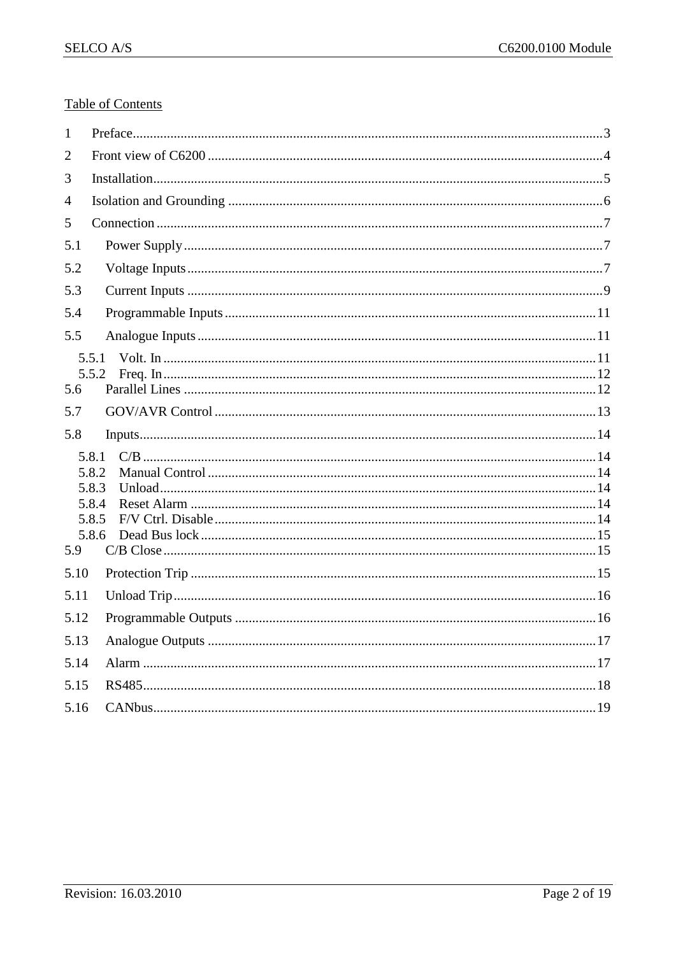#### **Table of Contents**

| 1    |                                                    |
|------|----------------------------------------------------|
| 2    |                                                    |
| 3    |                                                    |
| 4    |                                                    |
| 5    |                                                    |
| 5.1  |                                                    |
| 5.2  |                                                    |
| 5.3  |                                                    |
| 5.4  |                                                    |
| 5.5  |                                                    |
| 5.6  | 5.5.1<br>5.5.2                                     |
|      |                                                    |
| 5.7  |                                                    |
| 5.8  | InputStream 14                                     |
| 5.9  | 5.8.1<br>5.8.2<br>5.8.3<br>5.8.4<br>5.8.5<br>5.8.6 |
| 5.10 |                                                    |
| 5.11 |                                                    |
| 5.12 |                                                    |
| 5.13 |                                                    |
| 5.14 |                                                    |
| 5.15 |                                                    |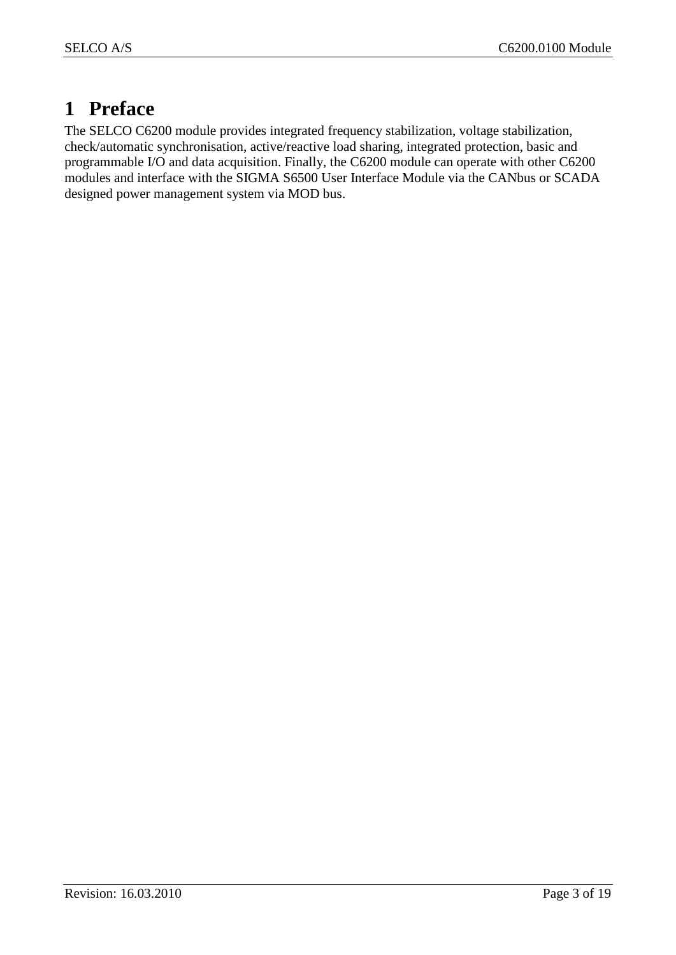## <span id="page-2-0"></span>**1 Preface**

The SELCO C6200 module provides integrated frequency stabilization, voltage stabilization, check/automatic synchronisation, active/reactive load sharing, integrated protection, basic and programmable I/O and data acquisition. Finally, the C6200 module can operate with other C6200 modules and interface with the SIGMA S6500 User Interface Module via the CANbus or SCADA designed power management system via MOD bus.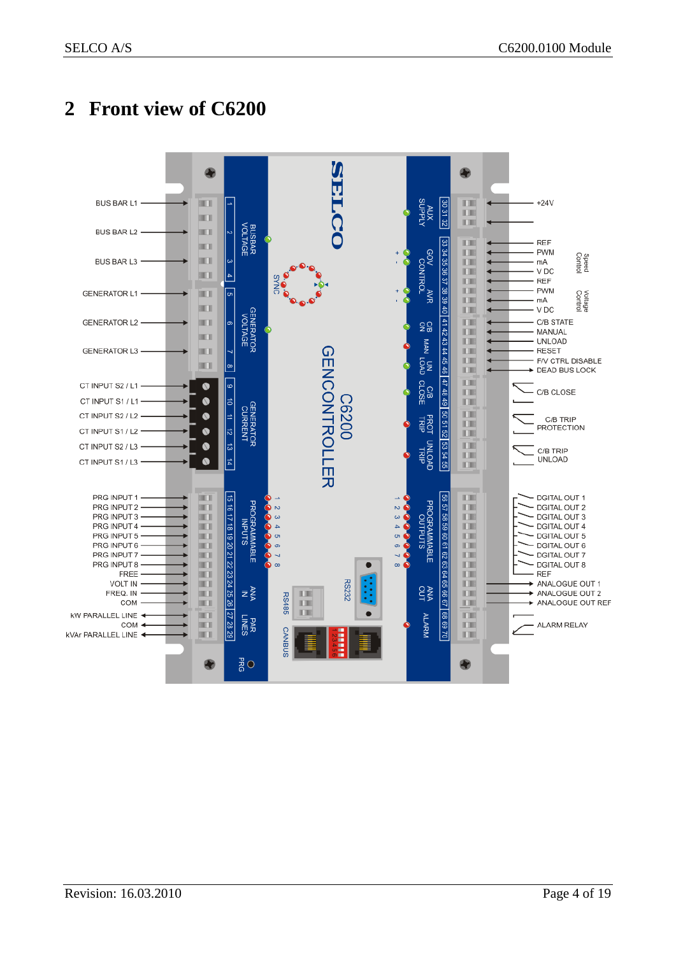## <span id="page-3-0"></span>**2 Front view of C6200**

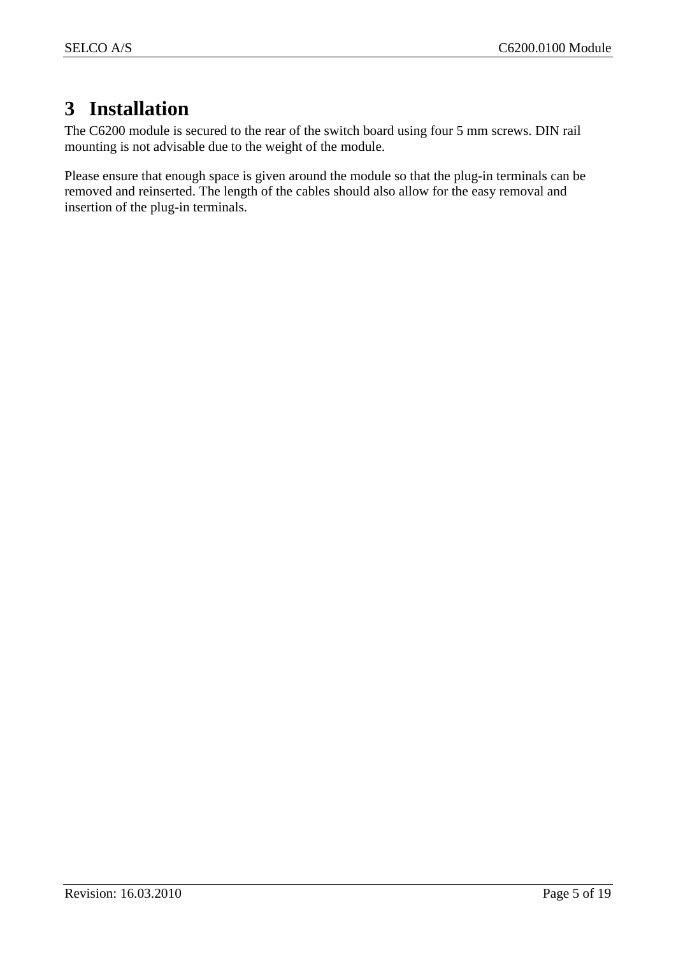## <span id="page-4-0"></span>**3 Installation**

The C6200 module is secured to the rear of the switch board using four 5 mm screws. DIN rail mounting is not advisable due to the weight of the module.

Please ensure that enough space is given around the module so that the plug-in terminals can be removed and reinserted. The length of the cables should also allow for the easy removal and insertion of the plug-in terminals.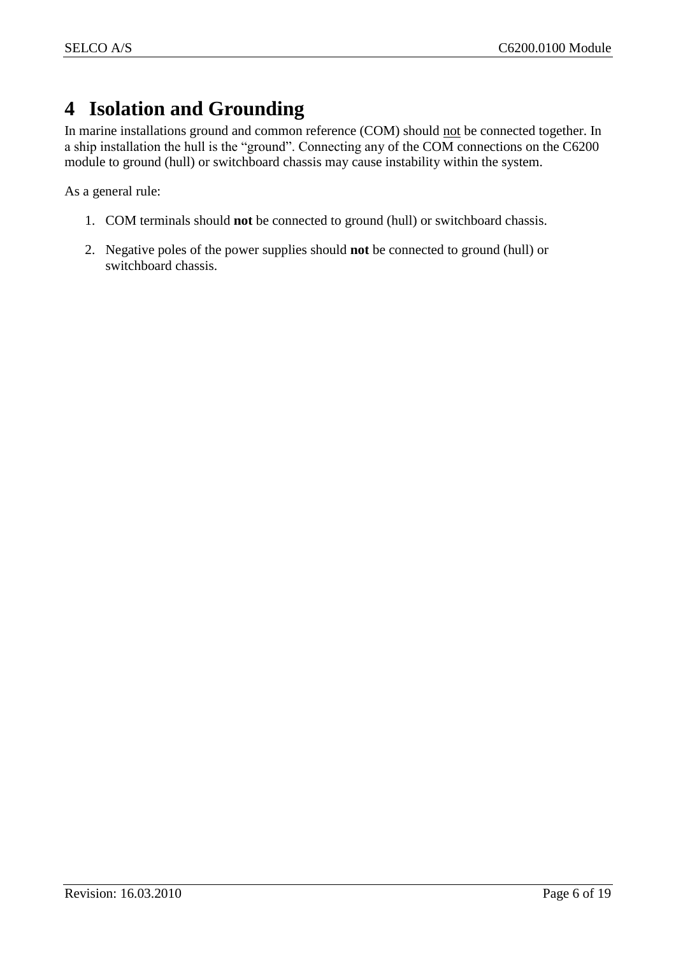## <span id="page-5-0"></span>**4 Isolation and Grounding**

In marine installations ground and common reference (COM) should not be connected together. In a ship installation the hull is the "ground". Connecting any of the COM connections on the C6200 module to ground (hull) or switchboard chassis may cause instability within the system.

As a general rule:

- 1. COM terminals should **not** be connected to ground (hull) or switchboard chassis.
- 2. Negative poles of the power supplies should **not** be connected to ground (hull) or switchboard chassis.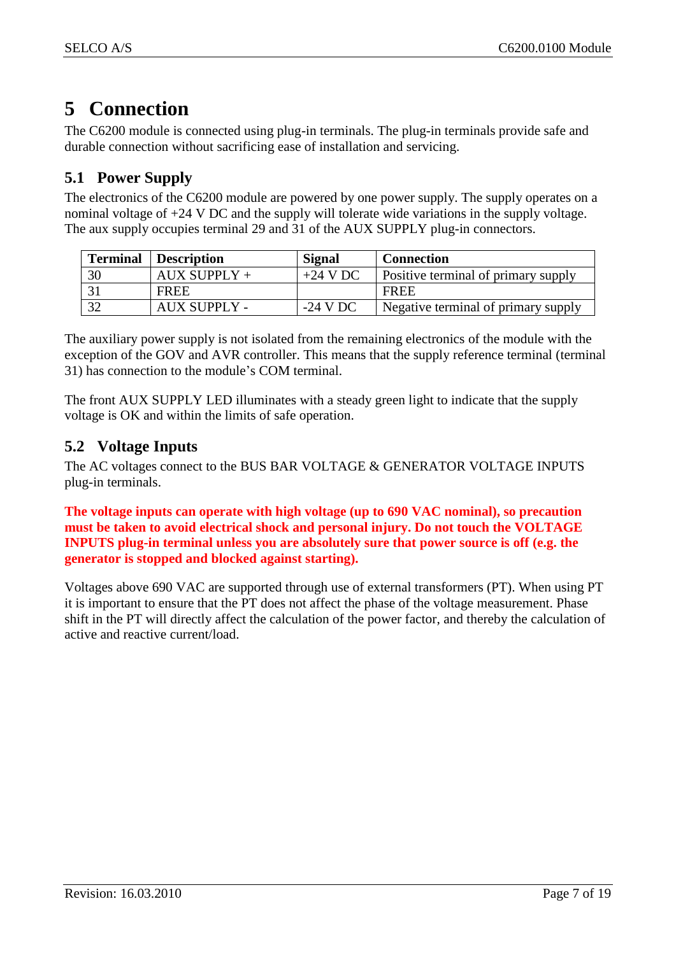## <span id="page-6-0"></span>**5 Connection**

The C6200 module is connected using plug-in terminals. The plug-in terminals provide safe and durable connection without sacrificing ease of installation and servicing.

## <span id="page-6-1"></span>**5.1 Power Supply**

The electronics of the C6200 module are powered by one power supply. The supply operates on a nominal voltage of +24 V DC and the supply will tolerate wide variations in the supply voltage. The aux supply occupies terminal 29 and 31 of the AUX SUPPLY plug-in connectors.

| <b>Terminal</b> | <b>Description</b>  | <b>Signal</b> | <b>Connection</b>                          |
|-----------------|---------------------|---------------|--------------------------------------------|
| 30              | $AUX$ SUPPLY +      | $+24$ V DC    | <b>Positive terminal of primary supply</b> |
|                 | FREE                |               | FREE                                       |
| 32              | <b>AUX SUPPLY -</b> | $-24$ V DC    | Negative terminal of primary supply        |

The auxiliary power supply is not isolated from the remaining electronics of the module with the exception of the GOV and AVR controller. This means that the supply reference terminal (terminal 31) has connection to the module's COM terminal.

The front AUX SUPPLY LED illuminates with a steady green light to indicate that the supply voltage is OK and within the limits of safe operation.

## <span id="page-6-2"></span>**5.2 Voltage Inputs**

The AC voltages connect to the BUS BAR VOLTAGE & GENERATOR VOLTAGE INPUTS plug-in terminals.

**The voltage inputs can operate with high voltage (up to 690 VAC nominal), so precaution must be taken to avoid electrical shock and personal injury. Do not touch the VOLTAGE INPUTS plug-in terminal unless you are absolutely sure that power source is off (e.g. the generator is stopped and blocked against starting).**

Voltages above 690 VAC are supported through use of external transformers (PT). When using PT it is important to ensure that the PT does not affect the phase of the voltage measurement. Phase shift in the PT will directly affect the calculation of the power factor, and thereby the calculation of active and reactive current/load.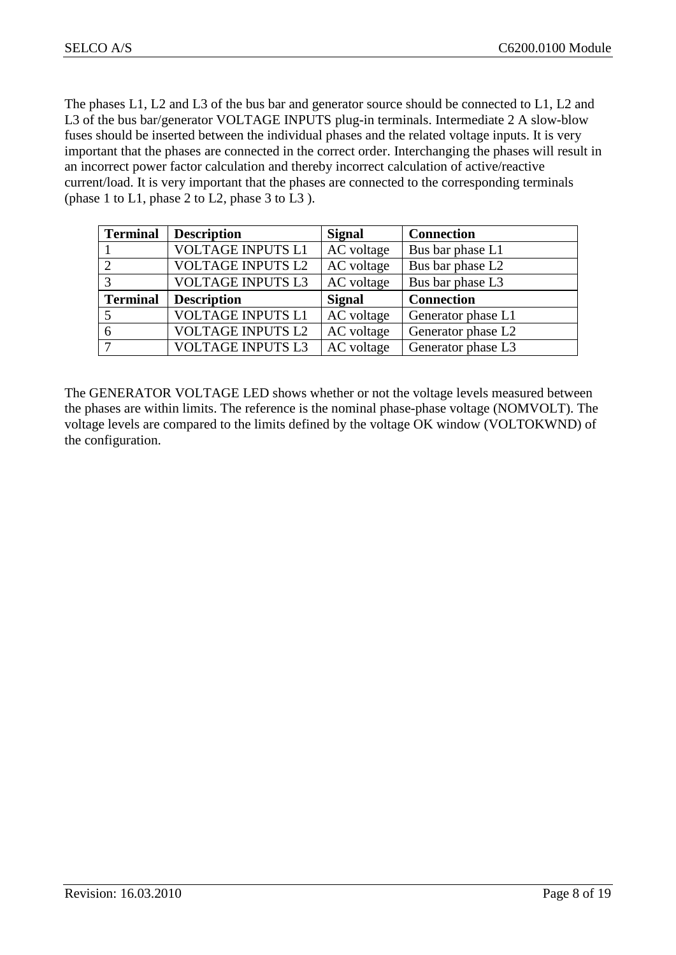The phases L1, L2 and L3 of the bus bar and generator source should be connected to L1, L2 and L3 of the bus bar/generator VOLTAGE INPUTS plug-in terminals. Intermediate 2 A slow-blow fuses should be inserted between the individual phases and the related voltage inputs. It is very important that the phases are connected in the correct order. Interchanging the phases will result in an incorrect power factor calculation and thereby incorrect calculation of active/reactive current/load. It is very important that the phases are connected to the corresponding terminals (phase 1 to L1, phase 2 to L2, phase 3 to L3 ).

| <b>Terminal</b> | <b>Description</b>       | <b>Signal</b> | <b>Connection</b>  |
|-----------------|--------------------------|---------------|--------------------|
|                 | <b>VOLTAGE INPUTS L1</b> | AC voltage    | Bus bar phase L1   |
| $\overline{2}$  | <b>VOLTAGE INPUTS L2</b> | AC voltage    | Bus bar phase L2   |
| 3               | <b>VOLTAGE INPUTS L3</b> | AC voltage    | Bus bar phase L3   |
| <b>Terminal</b> | <b>Description</b>       | <b>Signal</b> | <b>Connection</b>  |
| 5               |                          |               |                    |
|                 | <b>VOLTAGE INPUTS L1</b> | AC voltage    | Generator phase L1 |
| 6               | <b>VOLTAGE INPUTS L2</b> | AC voltage    | Generator phase L2 |

The GENERATOR VOLTAGE LED shows whether or not the voltage levels measured between the phases are within limits. The reference is the nominal phase-phase voltage (NOMVOLT). The voltage levels are compared to the limits defined by the voltage OK window (VOLTOKWND) of the configuration.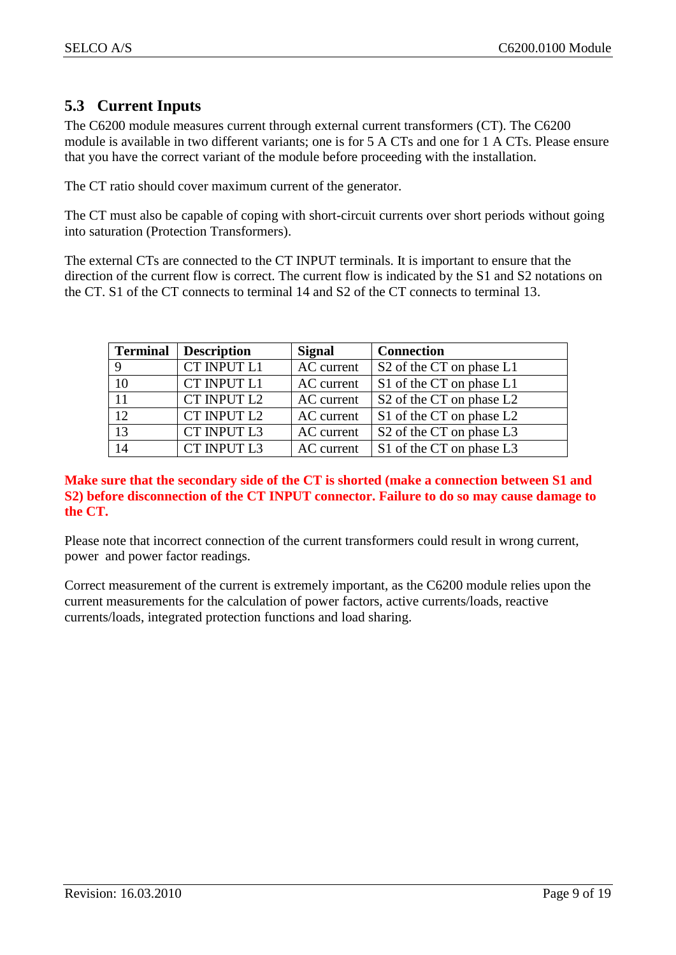## <span id="page-8-0"></span>**5.3 Current Inputs**

The C6200 module measures current through external current transformers (CT). The C6200 module is available in two different variants; one is for 5 A CTs and one for 1 A CTs. Please ensure that you have the correct variant of the module before proceeding with the installation.

The CT ratio should cover maximum current of the generator.

The CT must also be capable of coping with short-circuit currents over short periods without going into saturation (Protection Transformers).

The external CTs are connected to the CT INPUT terminals. It is important to ensure that the direction of the current flow is correct. The current flow is indicated by the S1 and S2 notations on the CT. S1 of the CT connects to terminal 14 and S2 of the CT connects to terminal 13.

| <b>Terminal</b> | <b>Description</b> | <b>Signal</b> | <b>Connection</b>                                |
|-----------------|--------------------|---------------|--------------------------------------------------|
|                 | CT INPUT L1        | AC current    | S <sub>2</sub> of the CT on phase L <sub>1</sub> |
| 10              | CT INPUT L1        | AC current    | S1 of the CT on phase L1                         |
| 11              | CT INPUT L2        | AC current    | S <sub>2</sub> of the CT on phase L <sub>2</sub> |
| $1\overline{2}$ | CT INPUT L2        | AC current    | S1 of the CT on phase L2                         |
| 13              | CT INPUT L3        | AC current    | S <sub>2</sub> of the CT on phase L <sub>3</sub> |
| 14              | CT INPUT L3        | AC current    | S1 of the CT on phase L3                         |

#### **Make sure that the secondary side of the CT is shorted (make a connection between S1 and S2) before disconnection of the CT INPUT connector. Failure to do so may cause damage to the CT.**

Please note that incorrect connection of the current transformers could result in wrong current, power and power factor readings.

Correct measurement of the current is extremely important, as the C6200 module relies upon the current measurements for the calculation of power factors, active currents/loads, reactive currents/loads, integrated protection functions and load sharing.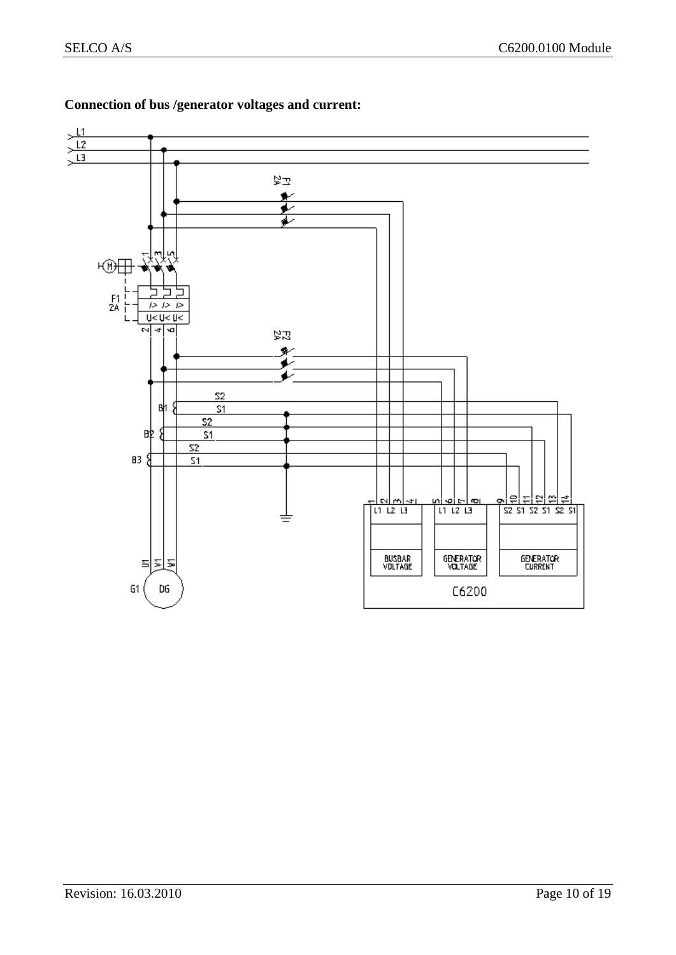

### **Connection of bus /generator voltages and current:**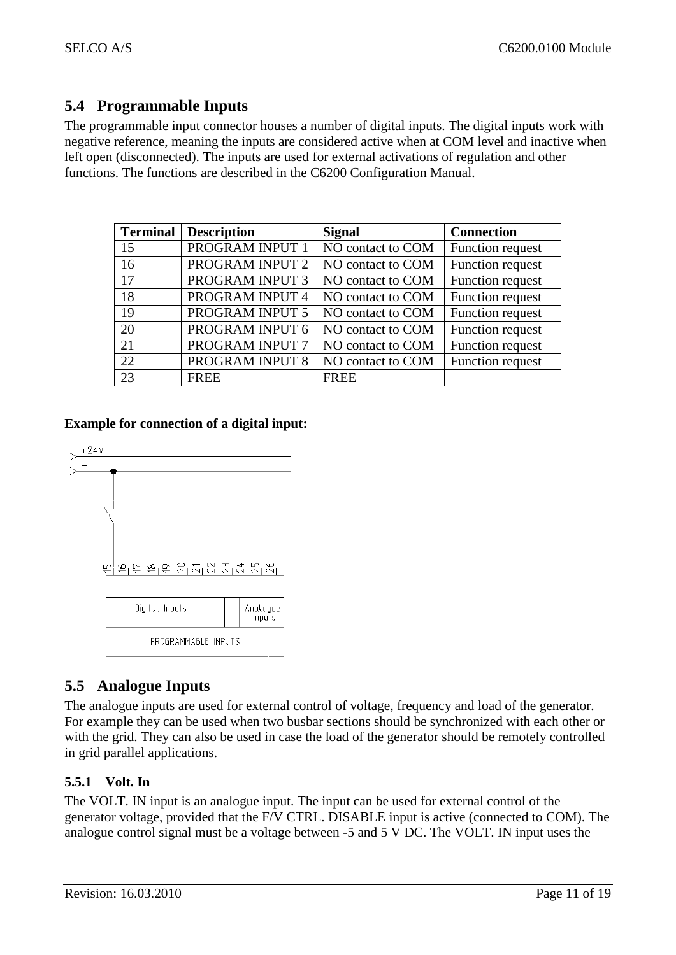## <span id="page-10-0"></span>**5.4 Programmable Inputs**

The programmable input connector houses a number of digital inputs. The digital inputs work with negative reference, meaning the inputs are considered active when at COM level and inactive when left open (disconnected). The inputs are used for external activations of regulation and other functions. The functions are described in the C6200 Configuration Manual.

| <b>Terminal</b> | <b>Description</b> | <b>Signal</b>     | <b>Connection</b> |
|-----------------|--------------------|-------------------|-------------------|
| 15              | PROGRAM INPUT 1    | NO contact to COM | Function request  |
| 16              | PROGRAM INPUT 2    | NO contact to COM | Function request  |
| 17              | PROGRAM INPUT 3    | NO contact to COM | Function request  |
| 18              | PROGRAM INPUT 4    | NO contact to COM | Function request  |
| 19              | PROGRAM INPUT 5    | NO contact to COM | Function request  |
| 20              | PROGRAM INPUT 6    | NO contact to COM | Function request  |
| 21              | PROGRAM INPUT 7    | NO contact to COM | Function request  |
| 22              | PROGRAM INPUT 8    | NO contact to COM | Function request  |
| 23              | <b>FREE</b>        | <b>FREE</b>       |                   |

#### **Example for connection of a digital input:**



## <span id="page-10-1"></span>**5.5 Analogue Inputs**

The analogue inputs are used for external control of voltage, frequency and load of the generator. For example they can be used when two busbar sections should be synchronized with each other or with the grid. They can also be used in case the load of the generator should be remotely controlled in grid parallel applications.

### <span id="page-10-2"></span>**5.5.1 Volt. In**

The VOLT. IN input is an analogue input. The input can be used for external control of the generator voltage, provided that the F/V CTRL. DISABLE input is active (connected to COM). The analogue control signal must be a voltage between -5 and 5 V DC. The VOLT. IN input uses the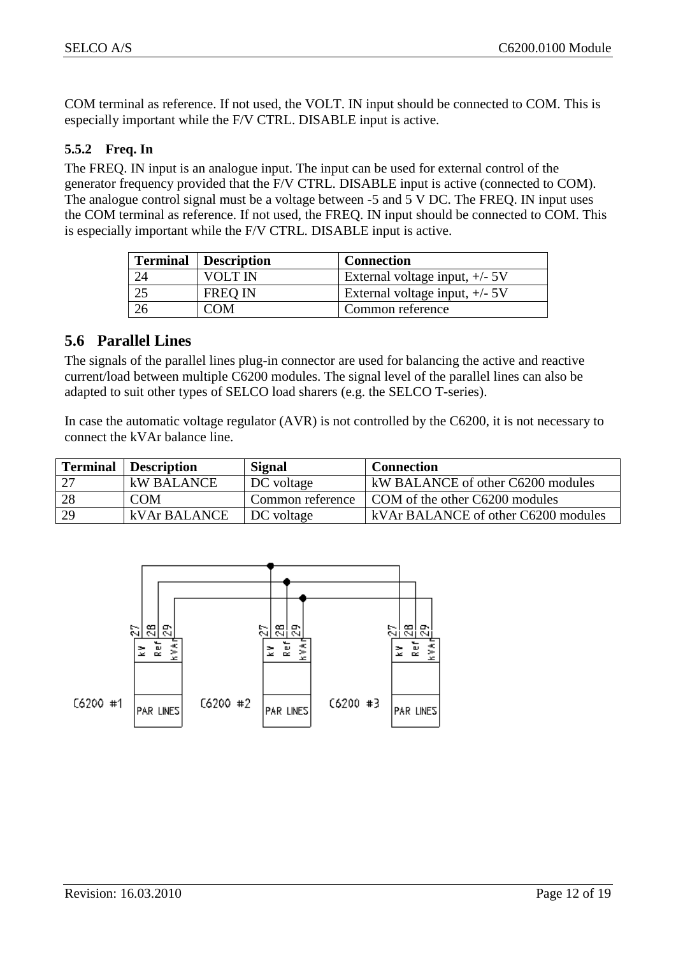COM terminal as reference. If not used, the VOLT. IN input should be connected to COM. This is especially important while the F/V CTRL. DISABLE input is active.

#### <span id="page-11-0"></span>**5.5.2 Freq. In**

The FREQ. IN input is an analogue input. The input can be used for external control of the generator frequency provided that the F/V CTRL. DISABLE input is active (connected to COM). The analogue control signal must be a voltage between -5 and 5 V DC. The FREQ. IN input uses the COM terminal as reference. If not used, the FREQ. IN input should be connected to COM. This is especially important while the F/V CTRL. DISABLE input is active.

| <b>Terminal</b> Description | <b>Connection</b>                |
|-----------------------------|----------------------------------|
| VOLT IN                     | External voltage input, $+/-$ 5V |
| <b>FREO IN</b>              | External voltage input, $+/-$ 5V |
| COM                         | Common reference                 |

### <span id="page-11-1"></span>**5.6 Parallel Lines**

The signals of the parallel lines plug-in connector are used for balancing the active and reactive current/load between multiple C6200 modules. The signal level of the parallel lines can also be adapted to suit other types of SELCO load sharers (e.g. the SELCO T-series).

In case the automatic voltage regulator (AVR) is not controlled by the C6200, it is not necessary to connect the kVAr balance line.

| <b>Terminal</b> | <b>Description</b> | Signal           | <b>Connection</b>                   |
|-----------------|--------------------|------------------|-------------------------------------|
| 27              | kW BALANCE         | DC voltage       | kW BALANCE of other C6200 modules   |
| 28              | <b>COM</b>         | Common reference | COM of the other C6200 modules      |
| 29              | kVAr BALANCE       | DC voltage       | kVAr BALANCE of other C6200 modules |

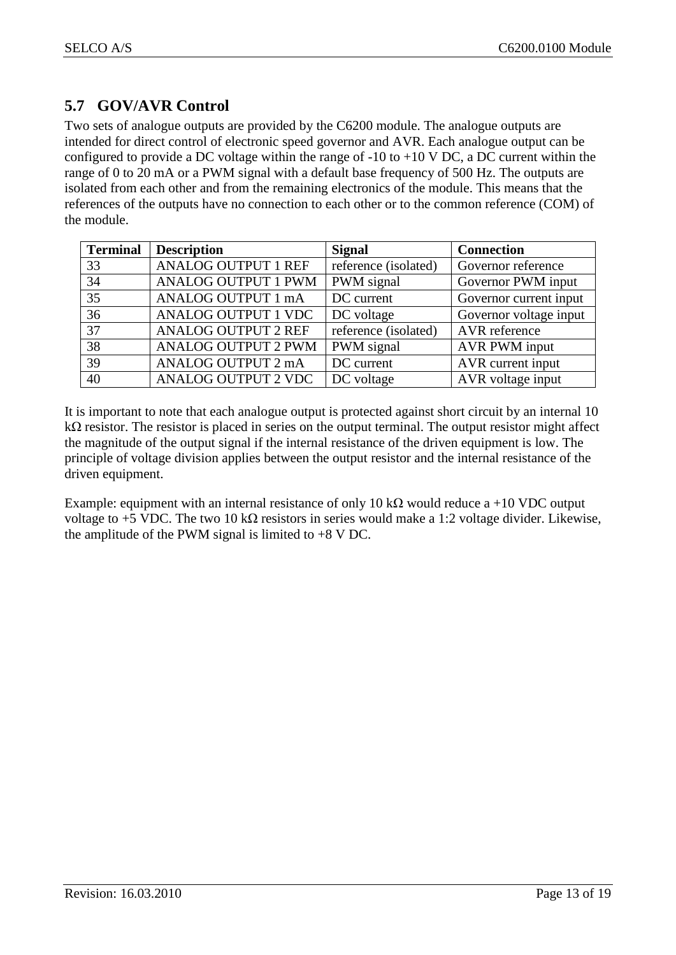## <span id="page-12-0"></span>**5.7 GOV/AVR Control**

Two sets of analogue outputs are provided by the C6200 module. The analogue outputs are intended for direct control of electronic speed governor and AVR. Each analogue output can be configured to provide a DC voltage within the range of  $-10$  to  $+10$  V DC, a DC current within the range of 0 to 20 mA or a PWM signal with a default base frequency of 500 Hz. The outputs are isolated from each other and from the remaining electronics of the module. This means that the references of the outputs have no connection to each other or to the common reference (COM) of the module.

| <b>Terminal</b> | <b>Description</b>         | <b>Signal</b>        | <b>Connection</b>      |
|-----------------|----------------------------|----------------------|------------------------|
| 33              | <b>ANALOG OUTPUT 1 REF</b> | reference (isolated) | Governor reference     |
| 34              | <b>ANALOG OUTPUT 1 PWM</b> | PWM signal           | Governor PWM input     |
| 35              | ANALOG OUTPUT 1 mA         | DC current           | Governor current input |
| 36              | <b>ANALOG OUTPUT 1 VDC</b> | DC voltage           | Governor voltage input |
| $\overline{37}$ | <b>ANALOG OUTPUT 2 REF</b> | reference (isolated) | AVR reference          |
| 38              | <b>ANALOG OUTPUT 2 PWM</b> | PWM signal           | AVR PWM input          |
| 39              | ANALOG OUTPUT 2 mA         | DC current           | AVR current input      |
| 40              | <b>ANALOG OUTPUT 2 VDC</b> | DC voltage           | AVR voltage input      |

It is important to note that each analogue output is protected against short circuit by an internal 10 kΩ resistor. The resistor is placed in series on the output terminal. The output resistor might affect the magnitude of the output signal if the internal resistance of the driven equipment is low. The principle of voltage division applies between the output resistor and the internal resistance of the driven equipment.

Example: equipment with an internal resistance of only 10 k $\Omega$  would reduce a +10 VDC output voltage to +5 VDC. The two 10 kΩ resistors in series would make a 1:2 voltage divider. Likewise, the amplitude of the PWM signal is limited to  $+8$  V DC.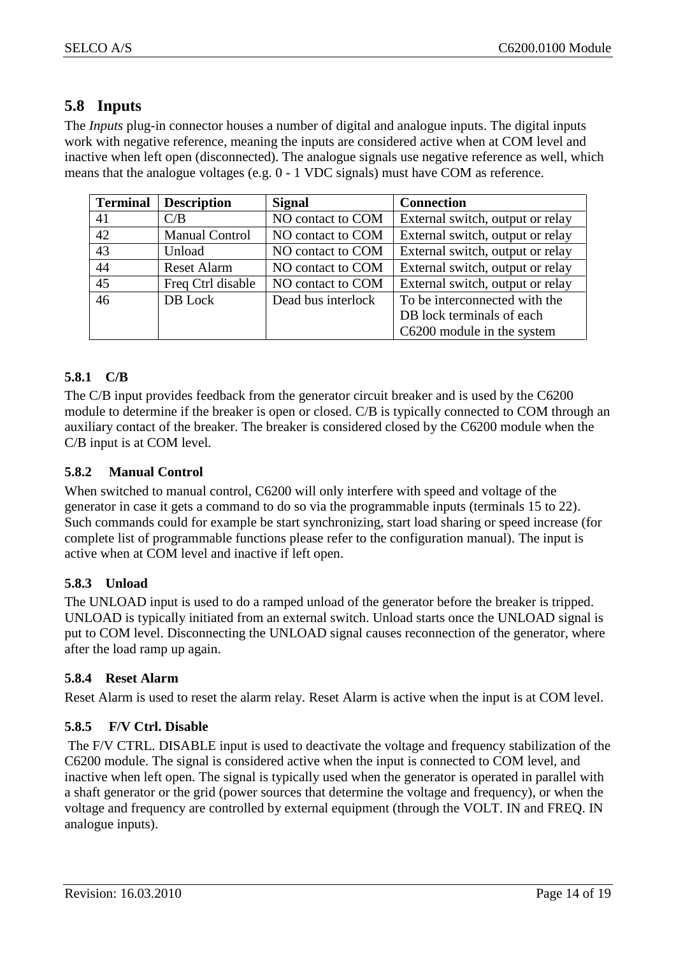## <span id="page-13-0"></span>**5.8 Inputs**

The *Inputs* plug-in connector houses a number of digital and analogue inputs. The digital inputs work with negative reference, meaning the inputs are considered active when at COM level and inactive when left open (disconnected). The analogue signals use negative reference as well, which means that the analogue voltages (e.g. 0 - 1 VDC signals) must have COM as reference.

| <b>Terminal</b> | <b>Description</b>    | <b>Signal</b>      | <b>Connection</b>                |
|-----------------|-----------------------|--------------------|----------------------------------|
| 41              | C/B                   | NO contact to COM  | External switch, output or relay |
| 42              | <b>Manual Control</b> | NO contact to COM  | External switch, output or relay |
| 43              | Unload                | NO contact to COM  | External switch, output or relay |
| 44              | <b>Reset Alarm</b>    | NO contact to COM  | External switch, output or relay |
| 45              | Freq Ctrl disable     | NO contact to COM  | External switch, output or relay |
| 46              | DB Lock               | Dead bus interlock | To be interconnected with the    |
|                 |                       |                    | DB lock terminals of each        |
|                 |                       |                    | C6200 module in the system       |

#### <span id="page-13-1"></span>**5.8.1 C/B**

The C/B input provides feedback from the generator circuit breaker and is used by the C6200 module to determine if the breaker is open or closed. C/B is typically connected to COM through an auxiliary contact of the breaker. The breaker is considered closed by the C6200 module when the C/B input is at COM level.

#### <span id="page-13-2"></span>**5.8.2 Manual Control**

When switched to manual control, C6200 will only interfere with speed and voltage of the generator in case it gets a command to do so via the programmable inputs (terminals 15 to 22). Such commands could for example be start synchronizing, start load sharing or speed increase (for complete list of programmable functions please refer to the configuration manual). The input is active when at COM level and inactive if left open.

#### <span id="page-13-3"></span>**5.8.3 Unload**

The UNLOAD input is used to do a ramped unload of the generator before the breaker is tripped. UNLOAD is typically initiated from an external switch. Unload starts once the UNLOAD signal is put to COM level. Disconnecting the UNLOAD signal causes reconnection of the generator, where after the load ramp up again.

#### <span id="page-13-4"></span>**5.8.4 Reset Alarm**

Reset Alarm is used to reset the alarm relay. Reset Alarm is active when the input is at COM level.

#### <span id="page-13-5"></span>**5.8.5 F/V Ctrl. Disable**

The F/V CTRL. DISABLE input is used to deactivate the voltage and frequency stabilization of the C6200 module. The signal is considered active when the input is connected to COM level, and inactive when left open. The signal is typically used when the generator is operated in parallel with a shaft generator or the grid (power sources that determine the voltage and frequency), or when the voltage and frequency are controlled by external equipment (through the VOLT. IN and FREQ. IN analogue inputs).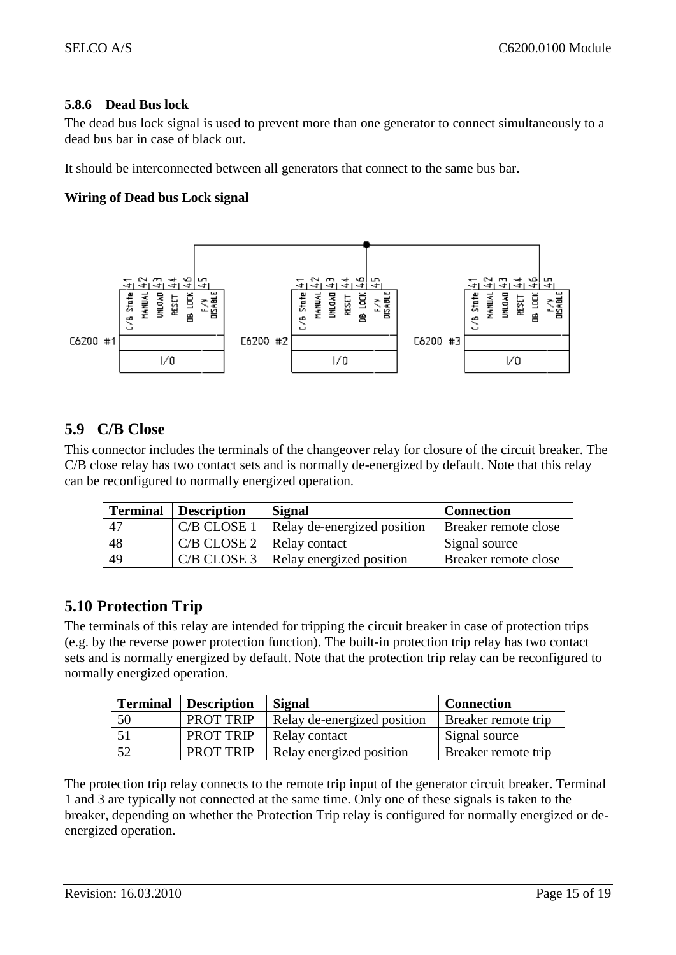#### <span id="page-14-0"></span>**5.8.6 Dead Bus lock**

The dead bus lock signal is used to prevent more than one generator to connect simultaneously to a dead bus bar in case of black out.

It should be interconnected between all generators that connect to the same bus bar.

#### **Wiring of Dead bus Lock signal**



## <span id="page-14-1"></span>**5.9 C/B Close**

This connector includes the terminals of the changeover relay for closure of the circuit breaker. The C/B close relay has two contact sets and is normally de-energized by default. Note that this relay can be reconfigured to normally energized operation.

| <b>Terminal</b> | <b>Description</b> | <b>Signal</b>               | <b>Connection</b>           |
|-----------------|--------------------|-----------------------------|-----------------------------|
| 47              | C/B CLOSE 1        | Relay de-energized position | <b>Breaker remote close</b> |
| 48              | C/B CLOSE 2        | Relay contact               | Signal source               |
| 49              | $C/B$ CLOSE 3      | Relay energized position    | Breaker remote close        |

### <span id="page-14-2"></span>**5.10 Protection Trip**

The terminals of this relay are intended for tripping the circuit breaker in case of protection trips (e.g. by the reverse power protection function). The built-in protection trip relay has two contact sets and is normally energized by default. Note that the protection trip relay can be reconfigured to normally energized operation.

| <b>Terminal</b> | <b>Description</b> | <b>Signal</b>               | <b>Connection</b>   |
|-----------------|--------------------|-----------------------------|---------------------|
| 50              | PROT TRIP          | Relay de-energized position | Breaker remote trip |
|                 | PROT TRIP          | Relay contact               | Signal source       |
| - 52            | <b>PROT TRIP</b>   | Relay energized position    | Breaker remote trip |

The protection trip relay connects to the remote trip input of the generator circuit breaker. Terminal 1 and 3 are typically not connected at the same time. Only one of these signals is taken to the breaker, depending on whether the Protection Trip relay is configured for normally energized or deenergized operation.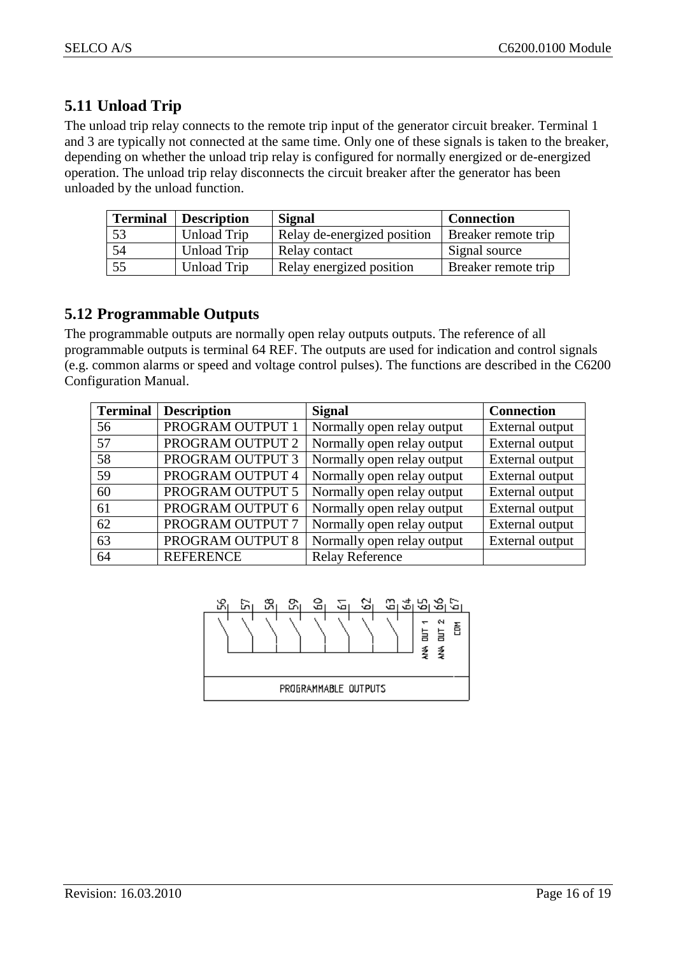## <span id="page-15-0"></span>**5.11 Unload Trip**

The unload trip relay connects to the remote trip input of the generator circuit breaker. Terminal 1 and 3 are typically not connected at the same time. Only one of these signals is taken to the breaker, depending on whether the unload trip relay is configured for normally energized or de-energized operation. The unload trip relay disconnects the circuit breaker after the generator has been unloaded by the unload function.

| <b>Terminal</b> | <b>Description</b> | <b>Signal</b>               | <b>Connection</b>          |
|-----------------|--------------------|-----------------------------|----------------------------|
| 53              | <b>Unload Trip</b> | Relay de-energized position | <b>Breaker remote trip</b> |
| 54              | Unload Trip        | Relay contact               | Signal source              |
| 55              | Unload Trip        | Relay energized position    | <b>Breaker remote trip</b> |

### <span id="page-15-1"></span>**5.12 Programmable Outputs**

The programmable outputs are normally open relay outputs outputs. The reference of all programmable outputs is terminal 64 REF. The outputs are used for indication and control signals (e.g. common alarms or speed and voltage control pulses). The functions are described in the C6200 Configuration Manual.

| <b>Terminal</b> | <b>Description</b> | <b>Signal</b>              | <b>Connection</b> |
|-----------------|--------------------|----------------------------|-------------------|
| 56              | PROGRAM OUTPUT 1   | Normally open relay output | External output   |
| 57              | PROGRAM OUTPUT 2   | Normally open relay output | External output   |
| 58              | PROGRAM OUTPUT 3   | Normally open relay output | External output   |
| 59              | PROGRAM OUTPUT 4   | Normally open relay output | External output   |
| 60              | PROGRAM OUTPUT 5   | Normally open relay output | External output   |
| 61              | PROGRAM OUTPUT 6   | Normally open relay output | External output   |
| 62              | PROGRAM OUTPUT 7   | Normally open relay output | External output   |
| 63              | PROGRAM OUTPUT 8   | Normally open relay output | External output   |
| 64              | <b>REFERENCE</b>   | <b>Relay Reference</b>     |                   |

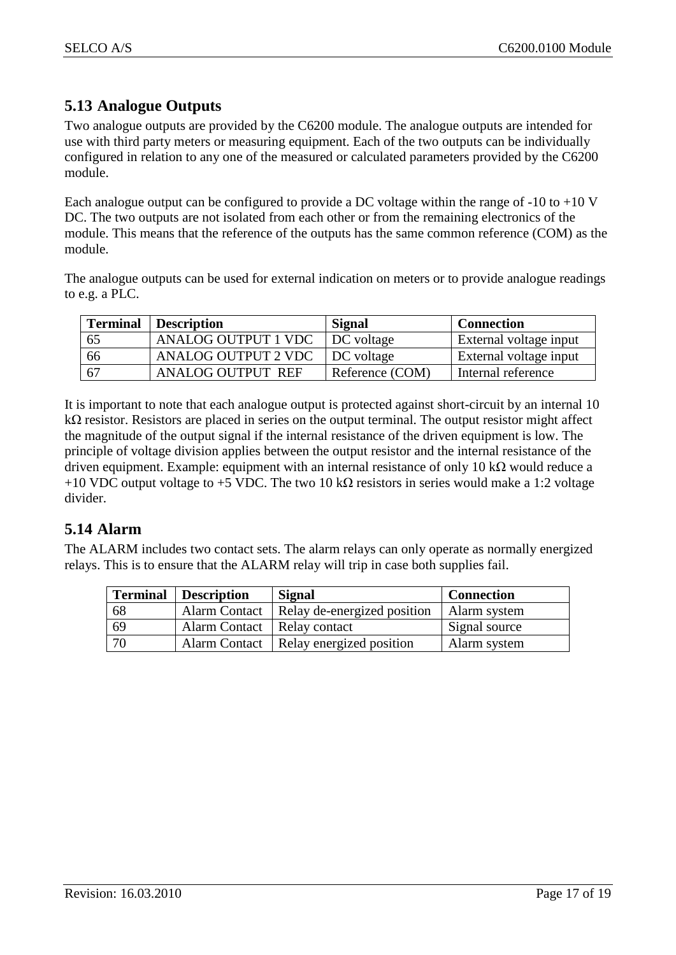## <span id="page-16-0"></span>**5.13 Analogue Outputs**

Two analogue outputs are provided by the C6200 module. The analogue outputs are intended for use with third party meters or measuring equipment. Each of the two outputs can be individually configured in relation to any one of the measured or calculated parameters provided by the C6200 module.

Each analogue output can be configured to provide a DC voltage within the range of  $-10$  to  $+10$  V DC. The two outputs are not isolated from each other or from the remaining electronics of the module. This means that the reference of the outputs has the same common reference (COM) as the module.

The analogue outputs can be used for external indication on meters or to provide analogue readings to e.g. a PLC.

| <b>Terminal</b> | <b>Description</b>         | Signal          | <b>Connection</b>      |
|-----------------|----------------------------|-----------------|------------------------|
| 65              | <b>ANALOG OUTPUT 1 VDC</b> | DC voltage      | External voltage input |
| 66              | ANALOG OUTPUT 2 VDC        | DC voltage      | External voltage input |
| 67              | <b>ANALOG OUTPUT REF</b>   | Reference (COM) | Internal reference     |

It is important to note that each analogue output is protected against short-circuit by an internal 10 kΩ resistor. Resistors are placed in series on the output terminal. The output resistor might affect the magnitude of the output signal if the internal resistance of the driven equipment is low. The principle of voltage division applies between the output resistor and the internal resistance of the driven equipment. Example: equipment with an internal resistance of only 10 kΩ would reduce a +10 VDC output voltage to +5 VDC. The two 10 kΩ resistors in series would make a 1:2 voltage divider.

## <span id="page-16-1"></span>**5.14 Alarm**

The ALARM includes two contact sets. The alarm relays can only operate as normally energized relays. This is to ensure that the ALARM relay will trip in case both supplies fail.

| <b>Terminal</b> | <b>Description</b>            | <b>Signal</b>                            | <b>Connection</b> |
|-----------------|-------------------------------|------------------------------------------|-------------------|
| -68             | <b>Alarm Contact</b>          | Relay de-energized position              | Alarm system      |
| -69             | Alarm Contact   Relay contact |                                          | Signal source     |
| -70             |                               | Alarm Contact   Relay energized position | Alarm system      |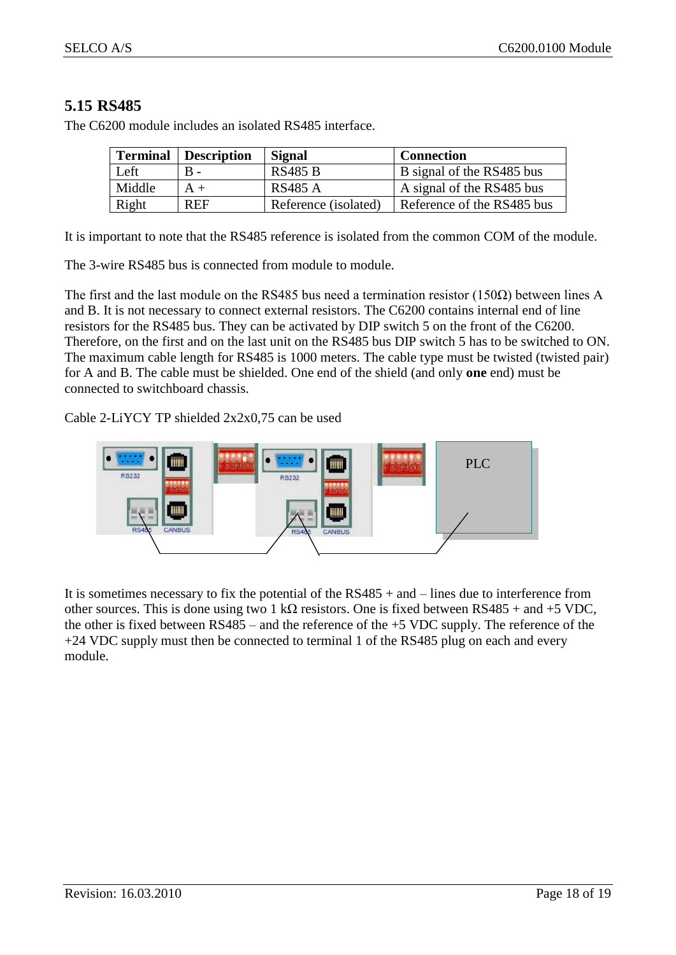## <span id="page-17-0"></span>**5.15 RS485**

| <b>Terminal</b> | <b>Description</b> | <b>Signal</b>        | <b>Connection</b>          |
|-----------------|--------------------|----------------------|----------------------------|
| Left            |                    | <b>RS485 B</b>       | B signal of the RS485 bus  |
| Middle          |                    | RS485 A              | A signal of the RS485 bus  |
| Right           | <b>REF</b>         | Reference (isolated) | Reference of the RS485 bus |

The C6200 module includes an isolated RS485 interface.

It is important to note that the RS485 reference is isolated from the common COM of the module.

The 3-wire RS485 bus is connected from module to module.

The first and the last module on the RS485 bus need a termination resistor (150 $\Omega$ ) between lines A and B. It is not necessary to connect external resistors. The C6200 contains internal end of line resistors for the RS485 bus. They can be activated by DIP switch 5 on the front of the C6200. Therefore, on the first and on the last unit on the RS485 bus DIP switch 5 has to be switched to ON. The maximum cable length for RS485 is 1000 meters. The cable type must be twisted (twisted pair) for A and B. The cable must be shielded. One end of the shield (and only **one** end) must be connected to switchboard chassis.

Cable 2-LiYCY TP shielded 2x2x0,75 can be used



It is sometimes necessary to fix the potential of the RS485 + and – lines due to interference from other sources. This is done using two 1 kΩ resistors. One is fixed between  $RS485 +$  and +5 VDC, the other is fixed between RS485 – and the reference of the +5 VDC supply. The reference of the +24 VDC supply must then be connected to terminal 1 of the RS485 plug on each and every module.